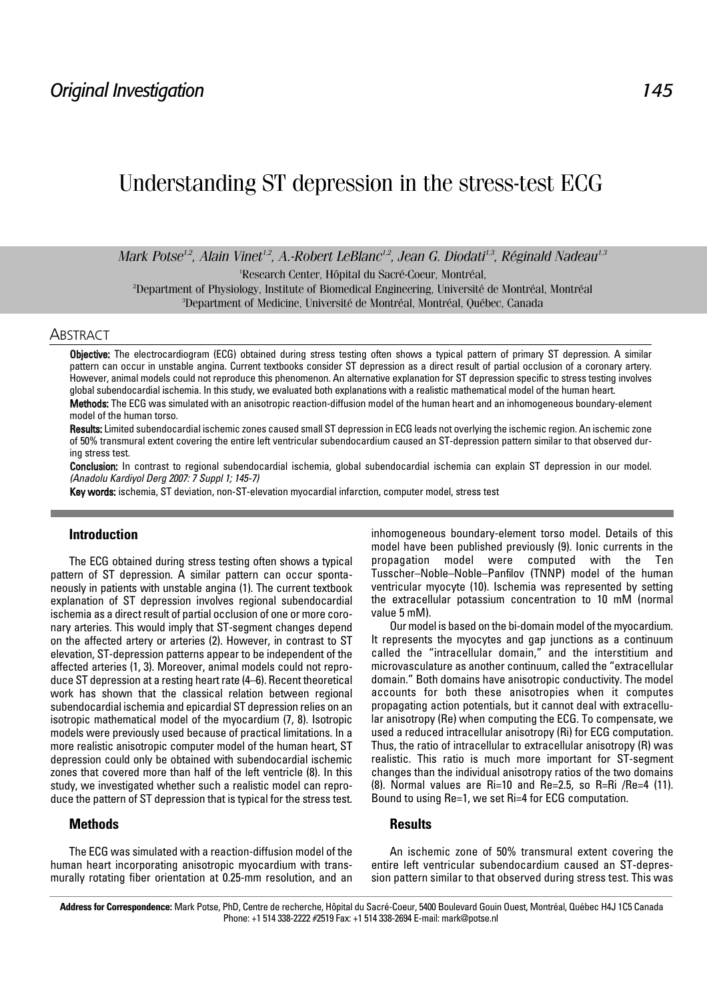# Understanding ST depression in the stress-test ECG

*Mark Potse<sup>1,2</sup>, Alain Vinet<sup>1,2</sup>, A.-Robert LeBlanc<sup>1,2</sup>, Jean G. Diodati<sup>1,3</sup>, Réginald Nadeau<sup>1,3</sup>* 

Research Center, Hôpital du Sacré-Coeur, Montréal,<br><sup>2</sup>Depertment of Physiology, Institute of Piemedical Engineering, Université e

<sup>2</sup>Department of Physiology, Institute of Biomedical Engineering, Université de Montréal, Montréal 3 Department of Medicine, Université de Montréal, Montréal, Québec, Canada

#### **ABSTRACT**

Objective: The electrocardiogram (ECG) obtained during stress testing often shows a typical pattern of primary ST depression. A similar pattern can occur in unstable angina. Current textbooks consider ST depression as a direct result of partial occlusion of a coronary artery. However, animal models could not reproduce this phenomenon. An alternative explanation for ST depression specific to stress testing involves global subendocardial ischemia. In this study, we evaluated both explanations with a realistic mathematical model of the human heart. Methods: The ECG was simulated with an anisotropic reaction-diffusion model of the human heart and an inhomogeneous boundary-element

model of the human torso.

Results: Limited subendocardial ischemic zones caused small ST depression in ECG leads not overlying the ischemic region. An ischemic zone of 50% transmural extent covering the entire left ventricular subendocardium caused an ST-depression pattern similar to that observed during stress test.

Conclusion: In contrast to regional subendocardial ischemia, global subendocardial ischemia can explain ST depression in our model. (Anadolu Kardiyol Derg 2007: 7 Suppl 1; 145-7)

Key words: ischemia, ST deviation, non-ST-elevation myocardial infarction, computer model, stress test

## **Introduction**

The ECG obtained during stress testing often shows a typical pattern of ST depression. A similar pattern can occur spontaneously in patients with unstable angina (1). The current textbook explanation of ST depression involves regional subendocardial ischemia as a direct result of partial occlusion of one or more coronary arteries. This would imply that ST-segment changes depend on the affected artery or arteries (2). However, in contrast to ST elevation, ST-depression patterns appear to be independent of the affected arteries (1, 3). Moreover, animal models could not reproduce ST depression at a resting heart rate (4–6). Recent theoretical work has shown that the classical relation between regional subendocardial ischemia and epicardial ST depression relies on an isotropic mathematical model of the myocardium (7, 8). Isotropic models were previously used because of practical limitations. In a more realistic anisotropic computer model of the human heart, ST depression could only be obtained with subendocardial ischemic zones that covered more than half of the left ventricle (8). In this study, we investigated whether such a realistic model can reproduce the pattern of ST depression that is typical for the stress test.

### **Methods**

The ECG was simulated with a reaction-diffusion model of the human heart incorporating anisotropic myocardium with transmurally rotating fiber orientation at 0.25-mm resolution, and an inhomogeneous boundary-element torso model. Details of this model have been published previously (9). Ionic currents in the propagation model were computed with the Ten Tusscher–Noble–Noble–Panfilov (TNNP) model of the human ventricular myocyte (10). Ischemia was represented by setting the extracellular potassium concentration to 10 mM (normal value 5 mM).

Our model is based on the bi-domain model of the myocardium. It represents the myocytes and gap junctions as a continuum called the "intracellular domain," and the interstitium and microvasculature as another continuum, called the "extracellular domain." Both domains have anisotropic conductivity. The model accounts for both these anisotropies when it computes propagating action potentials, but it cannot deal with extracellular anisotropy (Re) when computing the ECG. To compensate, we used a reduced intracellular anisotropy (Ri) for ECG computation. Thus, the ratio of intracellular to extracellular anisotropy (R) was realistic. This ratio is much more important for ST-segment changes than the individual anisotropy ratios of the two domains (8). Normal values are Ri=10 and Re=2.5, so R=Ri /Re=4 (11). Bound to using Re=1, we set Ri=4 for ECG computation.

# **Results**

An ischemic zone of 50% transmural extent covering the entire left ventricular subendocardium caused an ST-depression pattern similar to that observed during stress test. This was

**Address for Correspondence:** Mark Potse, PhD, Centre de recherche, Hôpital du Sacré-Coeur, 5400 Boulevard Gouin Ouest, Montréal, Québec H4J 1C5 Canada Phone: +1 514 338-2222 #2519 Fax: +1 514 338-2694 E-mail: mark@potse.nl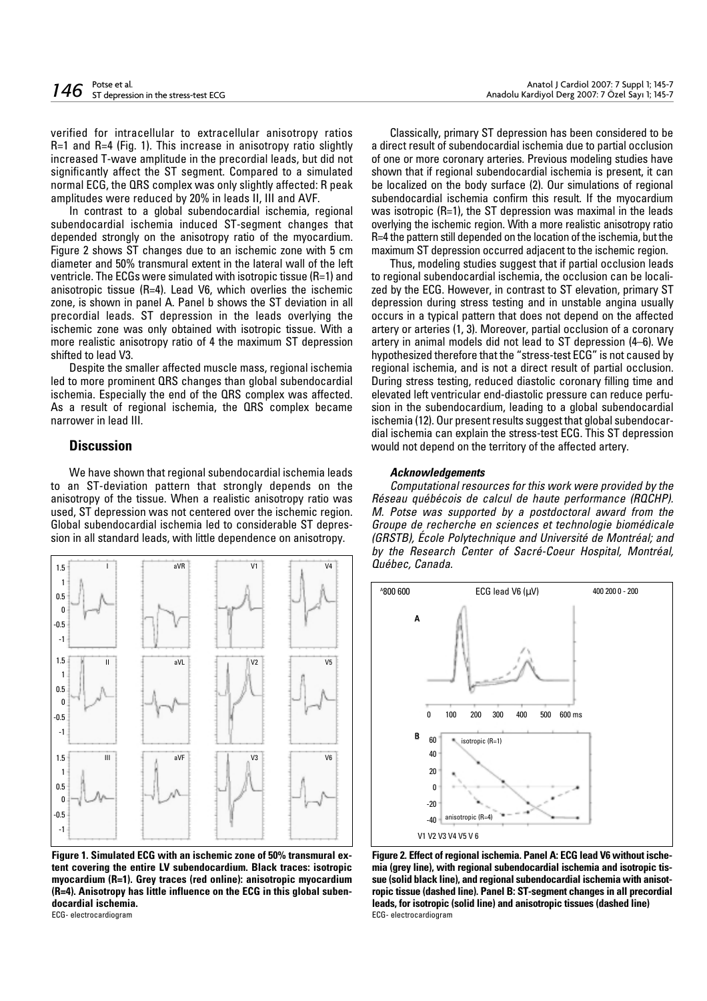verified for intracellular to extracellular anisotropy ratios R=1 and R=4 (Fig. 1). This increase in anisotropy ratio slightly increased T-wave amplitude in the precordial leads, but did not significantly affect the ST segment. Compared to a simulated normal ECG, the QRS complex was only slightly affected: R peak amplitudes were reduced by 20% in leads II, III and AVF.

In contrast to a global subendocardial ischemia, regional subendocardial ischemia induced ST-segment changes that depended strongly on the anisotropy ratio of the myocardium. Figure 2 shows ST changes due to an ischemic zone with 5 cm diameter and 50% transmural extent in the lateral wall of the left ventricle. The ECGs were simulated with isotropic tissue (R=1) and anisotropic tissue (R=4). Lead V6, which overlies the ischemic zone, is shown in panel A. Panel b shows the ST deviation in all precordial leads. ST depression in the leads overlying the ischemic zone was only obtained with isotropic tissue. With a more realistic anisotropy ratio of 4 the maximum ST depression shifted to lead V3.

Despite the smaller affected muscle mass, regional ischemia led to more prominent QRS changes than global subendocardial ischemia. Especially the end of the QRS complex was affected. As a result of regional ischemia, the QRS complex became narrower in lead III.

#### **Discussion**

We have shown that regional subendocardial ischemia leads to an ST-deviation pattern that strongly depends on the anisotropy of the tissue. When a realistic anisotropy ratio was used, ST depression was not centered over the ischemic region. Global subendocardial ischemia led to considerable ST depression in all standard leads, with little dependence on anisotropy.



**Figure 1. Simulated ECG with an ischemic zone of 50% transmural extent covering the entire LV subendocardium. Black traces: isotropic myocardium (R=1). Grey traces (red online): anisotropic myocardium (R=4). Anisotropy has little influence on the ECG in this global subendocardial ischemia.**  ECG- electrocardiogram

Classically, primary ST depression has been considered to be a direct result of subendocardial ischemia due to partial occlusion of one or more coronary arteries. Previous modeling studies have shown that if regional subendocardial ischemia is present, it can be localized on the body surface (2). Our simulations of regional subendocardial ischemia confirm this result. If the myocardium was isotropic (R=1), the ST depression was maximal in the leads overlying the ischemic region. With a more realistic anisotropy ratio R=4 the pattern still depended on the location of the ischemia, but the maximum ST depression occurred adjacent to the ischemic region.

Thus, modeling studies suggest that if partial occlusion leads to regional subendocardial ischemia, the occlusion can be localized by the ECG. However, in contrast to ST elevation, primary ST depression during stress testing and in unstable angina usually occurs in a typical pattern that does not depend on the affected artery or arteries (1, 3). Moreover, partial occlusion of a coronary artery in animal models did not lead to ST depression (4–6). We hypothesized therefore that the "stress-test ECG" is not caused by regional ischemia, and is not a direct result of partial occlusion. During stress testing, reduced diastolic coronary filling time and elevated left ventricular end-diastolic pressure can reduce perfusion in the subendocardium, leading to a global subendocardial ischemia (12). Our present results suggest that global subendocardial ischemia can explain the stress-test ECG. This ST depression would not depend on the territory of the affected artery.

#### **Acknowledgements**

Computational resources for this work were provided by the Réseau québécois de calcul de haute performance (RQCHP). M. Potse was supported by a postdoctoral award from the Groupe de recherche en sciences et technologie biomédicale (GRSTB), École Polytechnique and Université de Montréal; and by the Research Center of Sacré-Coeur Hospital, Montréal, Québec, Canada.



**Figure 2. Effect of regional ischemia. Panel A: ECG lead V6 without ischemia (grey line), with regional subendocardial ischemia and isotropic tissue (solid black line), and regional subendocardial ischemia with anisotropic tissue (dashed line). Panel B: ST-segment changes in all precordial leads, for isotropic (solid line) and anisotropic tissues (dashed line)** ECG- electrocardiogram